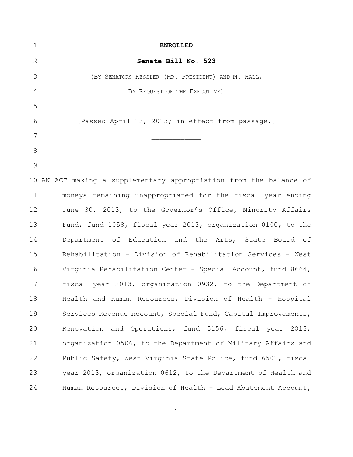| $\mathbf{1}$   | <b>ENROLLED</b>                                                    |
|----------------|--------------------------------------------------------------------|
| 2              | Senate Bill No. 523                                                |
| 3              | (BY SENATORS KESSLER (MR. PRESIDENT) AND M. HALL,                  |
| $\overline{4}$ | BY REQUEST OF THE EXECUTIVE)                                       |
| 5              |                                                                    |
| 6              | [Passed April 13, 2013; in effect from passage.]                   |
| 7              |                                                                    |
| 8              |                                                                    |
| $\mathcal{G}$  |                                                                    |
|                | 10 AN ACT making a supplementary appropriation from the balance of |
| 11             | moneys remaining unappropriated for the fiscal year ending         |
| 12             | June 30, 2013, to the Governor's Office, Minority Affairs          |
| 13             | Fund, fund 1058, fiscal year 2013, organization 0100, to the       |
| 14             | Department of Education and the Arts, State Board of               |
| 15             | Rehabilitation - Division of Rehabilitation Services - West        |
| 16             | Virginia Rehabilitation Center - Special Account, fund 8664,       |
| 17             | fiscal year 2013, organization 0932, to the Department of          |
| 18             | Health and Human Resources, Division of Health - Hospital          |
| 19             | Services Revenue Account, Special Fund, Capital Improvements,      |
| 20             | Renovation and Operations, fund 5156, fiscal year 2013,            |
| 21             | organization 0506, to the Department of Military Affairs and       |
| 22             | Public Safety, West Virginia State Police, fund 6501, fiscal       |
| 23             | year 2013, organization 0612, to the Department of Health and      |
| 24             | Human Resources, Division of Health - Lead Abatement Account,      |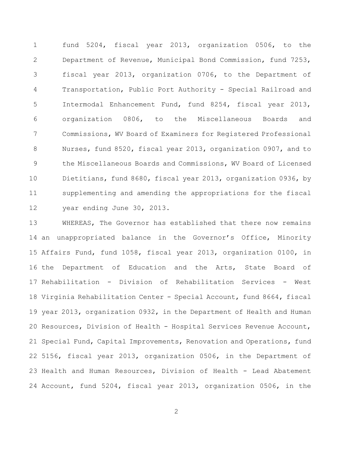fund 5204, fiscal year 2013, organization 0506, to the Department of Revenue, Municipal Bond Commission, fund 7253, fiscal year 2013, organization 0706, to the Department of Transportation, Public Port Authority - Special Railroad and Intermodal Enhancement Fund, fund 8254, fiscal year 2013, organization 0806, to the Miscellaneous Boards and Commissions, WV Board of Examiners for Registered Professional Nurses, fund 8520, fiscal year 2013, organization 0907, and to the Miscellaneous Boards and Commissions, WV Board of Licensed Dietitians, fund 8680, fiscal year 2013, organization 0936, by supplementing and amending the appropriations for the fiscal year ending June 30, 2013.

 WHEREAS, The Governor has established that there now remains an unappropriated balance in the Governor's Office, Minority Affairs Fund, fund 1058, fiscal year 2013, organization 0100, in the Department of Education and the Arts, State Board of Rehabilitation - Division of Rehabilitation Services - West Virginia Rehabilitation Center - Special Account, fund 8664, fiscal year 2013, organization 0932, in the Department of Health and Human Resources, Division of Health - Hospital Services Revenue Account, Special Fund, Capital Improvements, Renovation and Operations, fund 5156, fiscal year 2013, organization 0506, in the Department of Health and Human Resources, Division of Health - Lead Abatement Account, fund 5204, fiscal year 2013, organization 0506, in the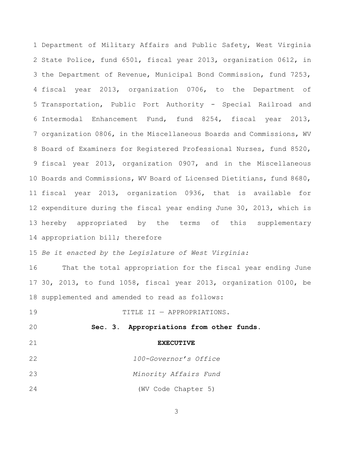Department of Military Affairs and Public Safety, West Virginia State Police, fund 6501, fiscal year 2013, organization 0612, in the Department of Revenue, Municipal Bond Commission, fund 7253, fiscal year 2013, organization 0706, to the Department of Transportation, Public Port Authority - Special Railroad and Intermodal Enhancement Fund, fund 8254, fiscal year 2013, organization 0806, in the Miscellaneous Boards and Commissions, WV Board of Examiners for Registered Professional Nurses, fund 8520, fiscal year 2013, organization 0907, and in the Miscellaneous Boards and Commissions, WV Board of Licensed Dietitians, fund 8680, fiscal year 2013, organization 0936, that is available for expenditure during the fiscal year ending June 30, 2013, which is hereby appropriated by the terms of this supplementary appropriation bill; therefore

*Be it enacted by the Legislature of West Virginia:*

 That the total appropriation for the fiscal year ending June 30, 2013, to fund 1058, fiscal year 2013, organization 0100, be supplemented and amended to read as follows:

TITLE II — APPROPRIATIONS.

**Sec. 3. Appropriations from other funds.**

- **EXECUTIVE**
- *100-Governor's Office*
- *Minority Affairs Fund*
- (WV Code Chapter 5)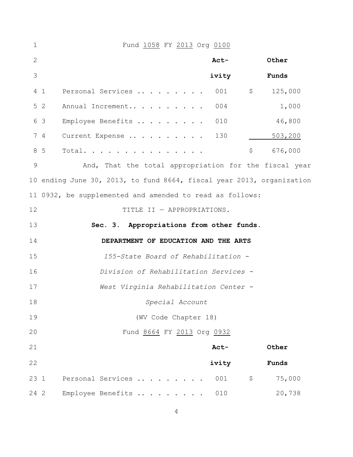| $\mathbf 1$    | Fund 1058 FY 2013 Org 0100                                            |                               |
|----------------|-----------------------------------------------------------------------|-------------------------------|
| $\overline{2}$ | Act-                                                                  | Other                         |
| 3              | ivity                                                                 | Funds                         |
|                | Personal Services<br>001<br>4 1                                       | $\hat{\mathsf{S}}$<br>125,000 |
|                | 5 <sub>2</sub><br>Annual Increment<br>004                             | 1,000                         |
|                | 6 3<br>Employee Benefits<br>010                                       | 46,800                        |
|                | 7 4<br>Current Expense<br>130                                         | 503,200                       |
|                | 8 5<br>Total.                                                         | \$<br>676,000                 |
| $\mathsf 9$    | And, That the total appropriation for the fiscal year                 |                               |
|                | 10 ending June 30, 2013, to fund 8664, fiscal year 2013, organization |                               |
|                | 11 0932, be supplemented and amended to read as follows:              |                               |
| 12             | TITLE II - APPROPRIATIONS.                                            |                               |
|                |                                                                       |                               |
|                | Sec. 3. Appropriations from other funds.                              |                               |
| 13<br>14       | DEPARTMENT OF EDUCATION AND THE ARTS                                  |                               |
| 15             | 155-State Board of Rehabilitation -                                   |                               |
| 16             | Division of Rehabilitation Services -                                 |                               |
| 17             | West Virginia Rehabilitation Center -                                 |                               |
| 18             | Special Account                                                       |                               |
| 19             | (WV Code Chapter 18)                                                  |                               |
| 20             | Fund 8664 FY 2013 Org 0932                                            |                               |
| 21             | Act-                                                                  | Other                         |
| 22             | ivity                                                                 | Funds                         |
| 23 1           | Personal Services<br>001                                              | 75,000<br>\$                  |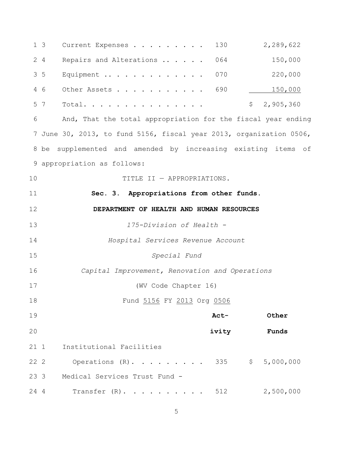|      | 1 <sup>3</sup><br>Current Expenses                                  | 130   |              | 2,289,622 |  |
|------|---------------------------------------------------------------------|-------|--------------|-----------|--|
|      | 24<br>Repairs and Alterations                                       | 064   |              | 150,000   |  |
|      | 3 <sub>5</sub><br>Equipment                                         | 070   |              | 220,000   |  |
|      | 4 6<br>Other Assets                                                 | 690   |              | 150,000   |  |
|      | 5 7<br>Total.                                                       |       | $\zeta$      | 2,905,360 |  |
| 6    | And, That the total appropriation for the fiscal year ending        |       |              |           |  |
|      | 7 June 30, 2013, to fund 5156, fiscal year 2013, organization 0506, |       |              |           |  |
|      | 8 be supplemented and amended by increasing existing items of       |       |              |           |  |
|      | 9 appropriation as follows:                                         |       |              |           |  |
| 10   | TITLE II - APPROPRIATIONS.                                          |       |              |           |  |
| 11   | Sec. 3. Appropriations from other funds.                            |       |              |           |  |
| 12   | DEPARTMENT OF HEALTH AND HUMAN RESOURCES                            |       |              |           |  |
| 13   | 175-Division of Health -                                            |       |              |           |  |
| 14   | Hospital Services Revenue Account                                   |       |              |           |  |
| 15   | Special Fund                                                        |       |              |           |  |
| 16   | Capital Improvement, Renovation and Operations                      |       |              |           |  |
| 17   | (WV Code Chapter 16)                                                |       |              |           |  |
| 18   | Fund 5156 FY 2013 Org 0506                                          |       |              |           |  |
| 19   |                                                                     | Act-  |              | Other     |  |
| 20   |                                                                     | ivity |              | Funds     |  |
| 211  | Institutional Facilities                                            |       |              |           |  |
| 22 2 | Operations $(R)$ .                                                  | 335   | $\mathsf{S}$ | 5,000,000 |  |
| 23 3 | Medical Services Trust Fund -                                       |       |              |           |  |
| 24 4 | Transfer (R).                                                       | 512   |              | 2,500,000 |  |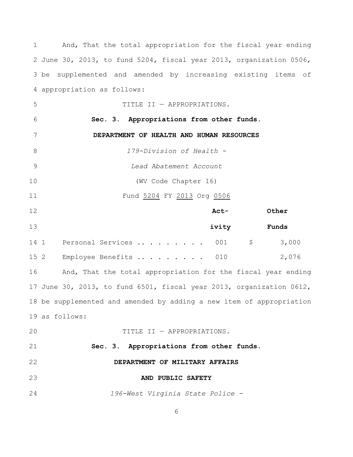And, That the total appropriation for the fiscal year ending June 30, 2013, to fund 5204, fiscal year 2013, organization 0506, be supplemented and amended by increasing existing items of appropriation as follows: TITLE II — APPROPRIATIONS. **Sec. 3. Appropriations from other funds. DEPARTMENT OF HEALTH AND HUMAN RESOURCES** *179-Division of Health - Lead Abatement Account* (WV Code Chapter 16) Fund 5204 FY 2013 Org 0506 **Act- Other ivity Funds** 1 Personal Services .. . . . . . . . 001 \$ 3,000 2 Employee Benefits .. . . . . . . . 010 2,076 And, That the total appropriation for the fiscal year ending June 30, 2013, to fund 6501, fiscal year 2013, organization 0612, be supplemented and amended by adding a new item of appropriation as follows: TITLE II — APPROPRIATIONS. **Sec. 3. Appropriations from other funds. DEPARTMENT OF MILITARY AFFAIRS AND PUBLIC SAFETY** *196-West Virginia State Police -*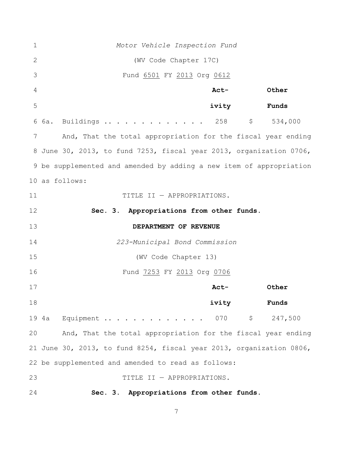*Motor Vehicle Inspection Fund* (WV Code Chapter 17C) Fund 6501 FY 2013 Org 0612 **Act- Other ivity Funds** 6a. Buildings .. . . . . . . . . . . . 258 \$ 534,000 And, That the total appropriation for the fiscal year ending June 30, 2013, to fund 7253, fiscal year 2013, organization 0706, be supplemented and amended by adding a new item of appropriation as follows: 11 TITLE II - APPROPRIATIONS. **Sec. 3. Appropriations from other funds. DEPARTMENT OF REVENUE** *223-Municipal Bond Commission* (WV Code Chapter 13) Fund 7253 FY 2013 Org 0706 **Act- Other ivity Funds** 19 4a Equipment .. . . . . . . . . . . 070 \$ 247,500 And, That the total appropriation for the fiscal year ending June 30, 2013, to fund 8254, fiscal year 2013, organization 0806, be supplemented and amended to read as follows: TITLE II — APPROPRIATIONS. **Sec. 3. Appropriations from other funds.**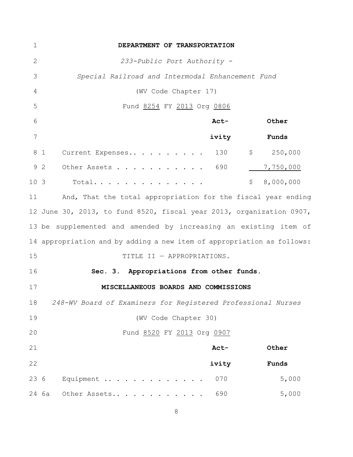| $\mathbf{1}$    | DEPARTMENT OF TRANSPORTATION                                           |
|-----------------|------------------------------------------------------------------------|
| $\mathbf{2}$    | 233-Public Port Authority -                                            |
| 3               | Special Railroad and Intermodal Enhancement Fund                       |
| 4               | (WV Code Chapter 17)                                                   |
| 5               | Fund 8254 FY 2013 Org 0806                                             |
| 6               | Other<br>Act-                                                          |
| 7               | ivity<br>Funds                                                         |
|                 | Current Expenses 130 \$ 250,000<br>8 1                                 |
|                 | 9 <sub>2</sub><br>Other Assets 690<br>7,750,000                        |
| 10 <sub>3</sub> | \$8,000,000<br>Total                                                   |
| 11              | And, That the total appropriation for the fiscal year ending           |
|                 | 12 June 30, 2013, to fund 8520, fiscal year 2013, organization 0907,   |
|                 | 13 be supplemented and amended by increasing an existing item of       |
|                 | 14 appropriation and by adding a new item of appropriation as follows: |
| 15              | TITLE II - APPROPRIATIONS.                                             |
| 16              | Sec. 3. Appropriations from other funds.                               |
| 17              | MISCELLANEOUS BOARDS AND COMMISSIONS                                   |
| 18              | 248-WV Board of Examiners for Registered Professional Nurses           |
| 19              | (WV Code Chapter 30)                                                   |
| 20              | Fund 8520 FY 2013 Org 0907                                             |
| 21              | Act-<br>Other                                                          |
| 22              | ivity<br>Funds                                                         |
| 23 6            | 5,000<br>Equipment<br>070                                              |
|                 | 5,000<br>690<br>24 6a<br>Other Assets                                  |